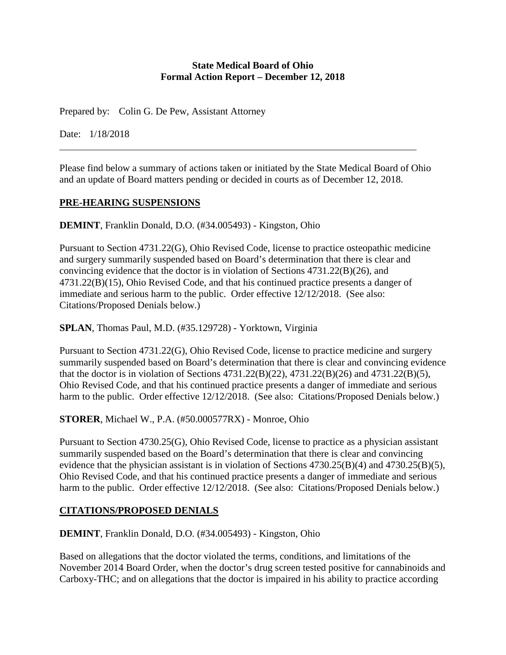### **State Medical Board of Ohio Formal Action Report – December 12, 2018**

Prepared by: Colin G. De Pew, Assistant Attorney

Date: 1/18/2018

Please find below a summary of actions taken or initiated by the State Medical Board of Ohio and an update of Board matters pending or decided in courts as of December 12, 2018.

### **PRE-HEARING SUSPENSIONS**

**DEMINT**, Franklin Donald, D.O. (#34.005493) - Kingston, Ohio

Pursuant to Section 4731.22(G), Ohio Revised Code, license to practice osteopathic medicine and surgery summarily suspended based on Board's determination that there is clear and convincing evidence that the doctor is in violation of Sections 4731.22(B)(26), and 4731.22(B)(15), Ohio Revised Code, and that his continued practice presents a danger of immediate and serious harm to the public. Order effective 12/12/2018. (See also: Citations/Proposed Denials below.)

**SPLAN**, Thomas Paul, M.D. (#35.129728) - Yorktown, Virginia

Pursuant to Section 4731.22(G), Ohio Revised Code, license to practice medicine and surgery summarily suspended based on Board's determination that there is clear and convincing evidence that the doctor is in violation of Sections 4731.22(B)(22), 4731.22(B)(26) and 4731.22(B)(5), Ohio Revised Code, and that his continued practice presents a danger of immediate and serious harm to the public. Order effective 12/12/2018. (See also: Citations/Proposed Denials below.)

**STORER**, Michael W., P.A. (#50.000577RX) - Monroe, Ohio

Pursuant to Section 4730.25(G), Ohio Revised Code, license to practice as a physician assistant summarily suspended based on the Board's determination that there is clear and convincing evidence that the physician assistant is in violation of Sections 4730.25(B)(4) and 4730.25(B)(5), Ohio Revised Code, and that his continued practice presents a danger of immediate and serious harm to the public. Order effective 12/12/2018. (See also: Citations/Proposed Denials below.)

# **CITATIONS/PROPOSED DENIALS**

**DEMINT**, Franklin Donald, D.O. (#34.005493) - Kingston, Ohio

Based on allegations that the doctor violated the terms, conditions, and limitations of the November 2014 Board Order, when the doctor's drug screen tested positive for cannabinoids and Carboxy-THC; and on allegations that the doctor is impaired in his ability to practice according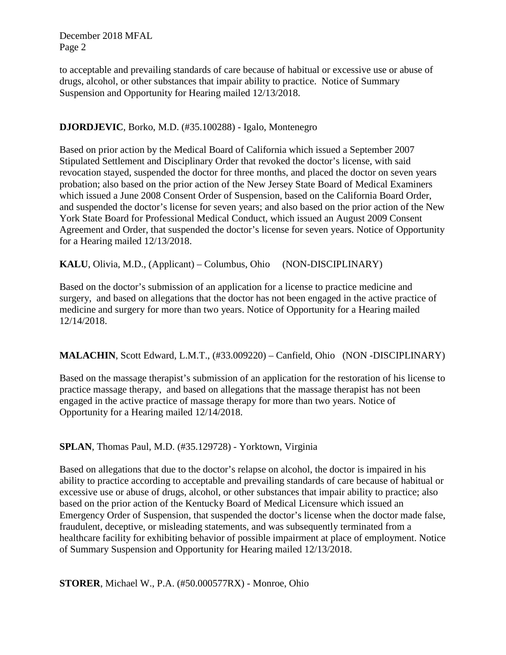to acceptable and prevailing standards of care because of habitual or excessive use or abuse of drugs, alcohol, or other substances that impair ability to practice. Notice of Summary Suspension and Opportunity for Hearing mailed 12/13/2018.

## **DJORDJEVIC**, Borko, M.D. (#35.100288) - Igalo, Montenegro

Based on prior action by the Medical Board of California which issued a September 2007 Stipulated Settlement and Disciplinary Order that revoked the doctor's license, with said revocation stayed, suspended the doctor for three months, and placed the doctor on seven years probation; also based on the prior action of the New Jersey State Board of Medical Examiners which issued a June 2008 Consent Order of Suspension, based on the California Board Order, and suspended the doctor's license for seven years; and also based on the prior action of the New York State Board for Professional Medical Conduct, which issued an August 2009 Consent Agreement and Order, that suspended the doctor's license for seven years. Notice of Opportunity for a Hearing mailed 12/13/2018.

**KALU**, Olivia, M.D., (Applicant) – Columbus, Ohio (NON-DISCIPLINARY)

Based on the doctor's submission of an application for a license to practice medicine and surgery, and based on allegations that the doctor has not been engaged in the active practice of medicine and surgery for more than two years. Notice of Opportunity for a Hearing mailed 12/14/2018.

**MALACHIN**, Scott Edward, L.M.T., (#33.009220) – Canfield, Ohio (NON -DISCIPLINARY)

Based on the massage therapist's submission of an application for the restoration of his license to practice massage therapy, and based on allegations that the massage therapist has not been engaged in the active practice of massage therapy for more than two years. Notice of Opportunity for a Hearing mailed 12/14/2018.

**SPLAN**, Thomas Paul, M.D. (#35.129728) - Yorktown, Virginia

Based on allegations that due to the doctor's relapse on alcohol, the doctor is impaired in his ability to practice according to acceptable and prevailing standards of care because of habitual or excessive use or abuse of drugs, alcohol, or other substances that impair ability to practice; also based on the prior action of the Kentucky Board of Medical Licensure which issued an Emergency Order of Suspension, that suspended the doctor's license when the doctor made false, fraudulent, deceptive, or misleading statements, and was subsequently terminated from a healthcare facility for exhibiting behavior of possible impairment at place of employment. Notice of Summary Suspension and Opportunity for Hearing mailed 12/13/2018.

**STORER**, Michael W., P.A. (#50.000577RX) - Monroe, Ohio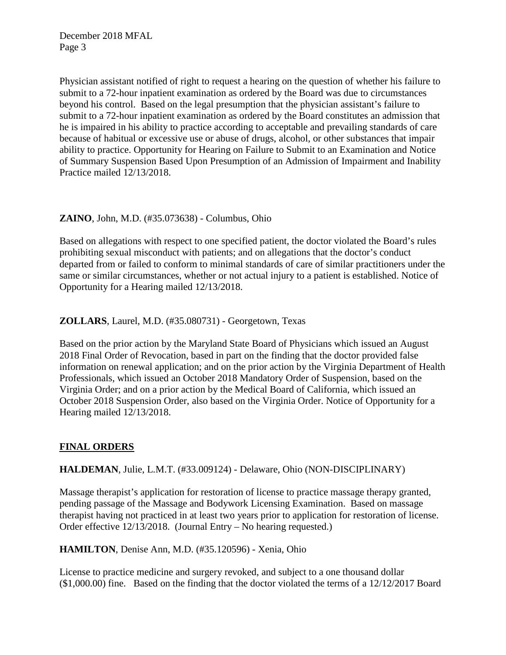Physician assistant notified of right to request a hearing on the question of whether his failure to submit to a 72-hour inpatient examination as ordered by the Board was due to circumstances beyond his control. Based on the legal presumption that the physician assistant's failure to submit to a 72-hour inpatient examination as ordered by the Board constitutes an admission that he is impaired in his ability to practice according to acceptable and prevailing standards of care because of habitual or excessive use or abuse of drugs, alcohol, or other substances that impair ability to practice. Opportunity for Hearing on Failure to Submit to an Examination and Notice of Summary Suspension Based Upon Presumption of an Admission of Impairment and Inability Practice mailed 12/13/2018.

### **ZAINO**, John, M.D. (#35.073638) - Columbus, Ohio

Based on allegations with respect to one specified patient, the doctor violated the Board's rules prohibiting sexual misconduct with patients; and on allegations that the doctor's conduct departed from or failed to conform to minimal standards of care of similar practitioners under the same or similar circumstances, whether or not actual injury to a patient is established. Notice of Opportunity for a Hearing mailed 12/13/2018.

# **ZOLLARS**, Laurel, M.D. (#35.080731) - Georgetown, Texas

Based on the prior action by the Maryland State Board of Physicians which issued an August 2018 Final Order of Revocation, based in part on the finding that the doctor provided false information on renewal application; and on the prior action by the Virginia Department of Health Professionals, which issued an October 2018 Mandatory Order of Suspension, based on the Virginia Order; and on a prior action by the Medical Board of California, which issued an October 2018 Suspension Order, also based on the Virginia Order. Notice of Opportunity for a Hearing mailed 12/13/2018.

# **FINAL ORDERS**

### **HALDEMAN**, Julie, L.M.T. (#33.009124) - Delaware, Ohio (NON-DISCIPLINARY)

Massage therapist's application for restoration of license to practice massage therapy granted, pending passage of the Massage and Bodywork Licensing Examination. Based on massage therapist having not practiced in at least two years prior to application for restoration of license. Order effective 12/13/2018. (Journal Entry – No hearing requested.)

**HAMILTON**, Denise Ann, M.D. (#35.120596) - Xenia, Ohio

License to practice medicine and surgery revoked, and subject to a one thousand dollar  $(1,000.00)$  fine. Based on the finding that the doctor violated the terms of a 12/12/2017 Board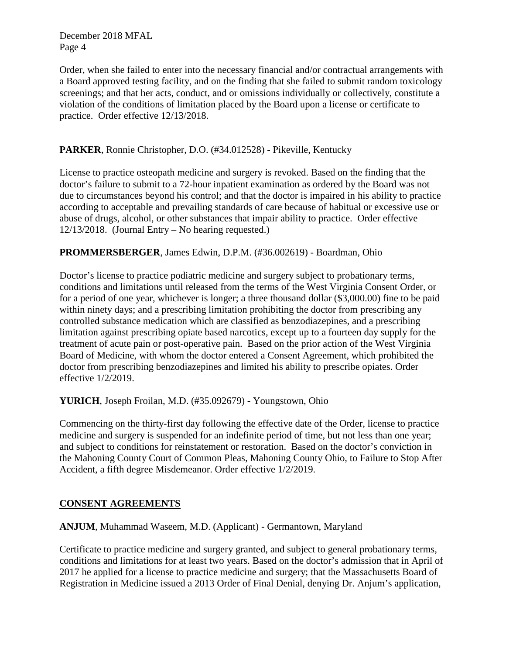Order, when she failed to enter into the necessary financial and/or contractual arrangements with a Board approved testing facility, and on the finding that she failed to submit random toxicology screenings; and that her acts, conduct, and or omissions individually or collectively, constitute a violation of the conditions of limitation placed by the Board upon a license or certificate to practice. Order effective 12/13/2018.

## **PARKER**, Ronnie Christopher, D.O. (#34.012528) - Pikeville, Kentucky

License to practice osteopath medicine and surgery is revoked. Based on the finding that the doctor's failure to submit to a 72-hour inpatient examination as ordered by the Board was not due to circumstances beyond his control; and that the doctor is impaired in his ability to practice according to acceptable and prevailing standards of care because of habitual or excessive use or abuse of drugs, alcohol, or other substances that impair ability to practice. Order effective 12/13/2018. (Journal Entry – No hearing requested.)

### **PROMMERSBERGER**, James Edwin, D.P.M. (#36.002619) - Boardman, Ohio

Doctor's license to practice podiatric medicine and surgery subject to probationary terms, conditions and limitations until released from the terms of the West Virginia Consent Order, or for a period of one year, whichever is longer; a three thousand dollar (\$3,000.00) fine to be paid within ninety days; and a prescribing limitation prohibiting the doctor from prescribing any controlled substance medication which are classified as benzodiazepines, and a prescribing limitation against prescribing opiate based narcotics, except up to a fourteen day supply for the treatment of acute pain or post-operative pain. Based on the prior action of the West Virginia Board of Medicine, with whom the doctor entered a Consent Agreement, which prohibited the doctor from prescribing benzodiazepines and limited his ability to prescribe opiates. Order effective 1/2/2019.

#### **YURICH**, Joseph Froilan, M.D. (#35.092679) - Youngstown, Ohio

Commencing on the thirty-first day following the effective date of the Order, license to practice medicine and surgery is suspended for an indefinite period of time, but not less than one year; and subject to conditions for reinstatement or restoration. Based on the doctor's conviction in the Mahoning County Court of Common Pleas, Mahoning County Ohio, to Failure to Stop After Accident, a fifth degree Misdemeanor. Order effective 1/2/2019.

### **CONSENT AGREEMENTS**

**ANJUM**, Muhammad Waseem, M.D. (Applicant) - Germantown, Maryland

Certificate to practice medicine and surgery granted, and subject to general probationary terms, conditions and limitations for at least two years. Based on the doctor's admission that in April of 2017 he applied for a license to practice medicine and surgery; that the Massachusetts Board of Registration in Medicine issued a 2013 Order of Final Denial, denying Dr. Anjum's application,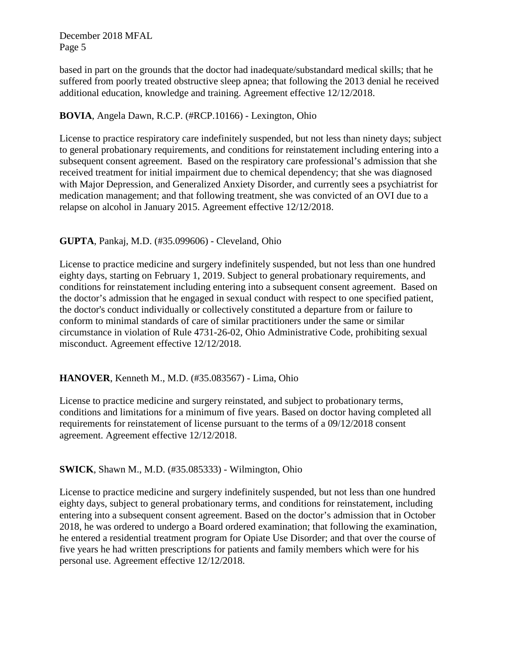based in part on the grounds that the doctor had inadequate/substandard medical skills; that he suffered from poorly treated obstructive sleep apnea; that following the 2013 denial he received additional education, knowledge and training. Agreement effective 12/12/2018.

### **BOVIA**, Angela Dawn, R.C.P. (#RCP.10166) - Lexington, Ohio

License to practice respiratory care indefinitely suspended, but not less than ninety days; subject to general probationary requirements, and conditions for reinstatement including entering into a subsequent consent agreement. Based on the respiratory care professional's admission that she received treatment for initial impairment due to chemical dependency; that she was diagnosed with Major Depression, and Generalized Anxiety Disorder, and currently sees a psychiatrist for medication management; and that following treatment, she was convicted of an OVI due to a relapse on alcohol in January 2015. Agreement effective 12/12/2018.

### **GUPTA**, Pankaj, M.D. (#35.099606) - Cleveland, Ohio

License to practice medicine and surgery indefinitely suspended, but not less than one hundred eighty days, starting on February 1, 2019. Subject to general probationary requirements, and conditions for reinstatement including entering into a subsequent consent agreement. Based on the doctor's admission that he engaged in sexual conduct with respect to one specified patient, the doctor's conduct individually or collectively constituted a departure from or failure to conform to minimal standards of care of similar practitioners under the same or similar circumstance in violation of Rule 4731-26-02, Ohio Administrative Code, prohibiting sexual misconduct. Agreement effective 12/12/2018.

### **HANOVER**, Kenneth M., M.D. (#35.083567) - Lima, Ohio

License to practice medicine and surgery reinstated, and subject to probationary terms, conditions and limitations for a minimum of five years. Based on doctor having completed all requirements for reinstatement of license pursuant to the terms of a 09/12/2018 consent agreement. Agreement effective 12/12/2018.

#### **SWICK**, Shawn M., M.D. (#35.085333) - Wilmington, Ohio

License to practice medicine and surgery indefinitely suspended, but not less than one hundred eighty days, subject to general probationary terms, and conditions for reinstatement, including entering into a subsequent consent agreement. Based on the doctor's admission that in October 2018, he was ordered to undergo a Board ordered examination; that following the examination, he entered a residential treatment program for Opiate Use Disorder; and that over the course of five years he had written prescriptions for patients and family members which were for his personal use. Agreement effective 12/12/2018.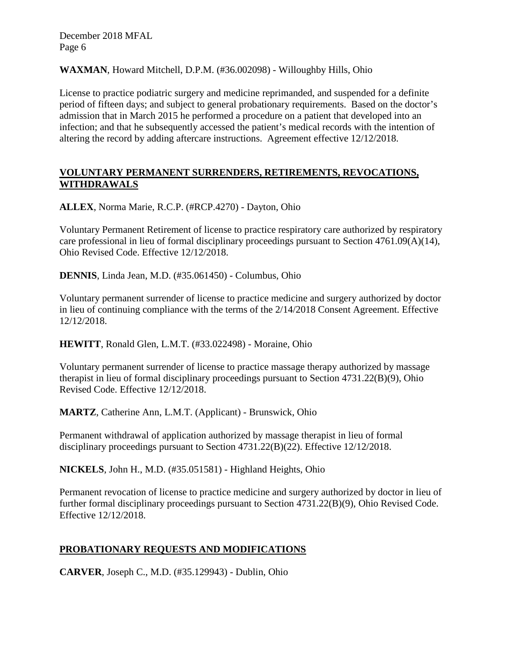**WAXMAN**, Howard Mitchell, D.P.M. (#36.002098) - Willoughby Hills, Ohio

License to practice podiatric surgery and medicine reprimanded, and suspended for a definite period of fifteen days; and subject to general probationary requirements. Based on the doctor's admission that in March 2015 he performed a procedure on a patient that developed into an infection; and that he subsequently accessed the patient's medical records with the intention of altering the record by adding aftercare instructions. Agreement effective 12/12/2018.

## **VOLUNTARY PERMANENT SURRENDERS, RETIREMENTS, REVOCATIONS, WITHDRAWALS**

**ALLEX**, Norma Marie, R.C.P. (#RCP.4270) - Dayton, Ohio

Voluntary Permanent Retirement of license to practice respiratory care authorized by respiratory care professional in lieu of formal disciplinary proceedings pursuant to Section 4761.09(A)(14), Ohio Revised Code. Effective 12/12/2018.

**DENNIS**, Linda Jean, M.D. (#35.061450) - Columbus, Ohio

Voluntary permanent surrender of license to practice medicine and surgery authorized by doctor in lieu of continuing compliance with the terms of the 2/14/2018 Consent Agreement. Effective 12/12/2018.

**HEWITT**, Ronald Glen, L.M.T. (#33.022498) - Moraine, Ohio

Voluntary permanent surrender of license to practice massage therapy authorized by massage therapist in lieu of formal disciplinary proceedings pursuant to Section 4731.22(B)(9), Ohio Revised Code. Effective 12/12/2018.

**MARTZ**, Catherine Ann, L.M.T. (Applicant) - Brunswick, Ohio

Permanent withdrawal of application authorized by massage therapist in lieu of formal disciplinary proceedings pursuant to Section 4731.22(B)(22). Effective 12/12/2018.

**NICKELS**, John H., M.D. (#35.051581) - Highland Heights, Ohio

Permanent revocation of license to practice medicine and surgery authorized by doctor in lieu of further formal disciplinary proceedings pursuant to Section 4731.22(B)(9), Ohio Revised Code. Effective 12/12/2018.

# **PROBATIONARY REQUESTS AND MODIFICATIONS**

**CARVER**, Joseph C., M.D. (#35.129943) - Dublin, Ohio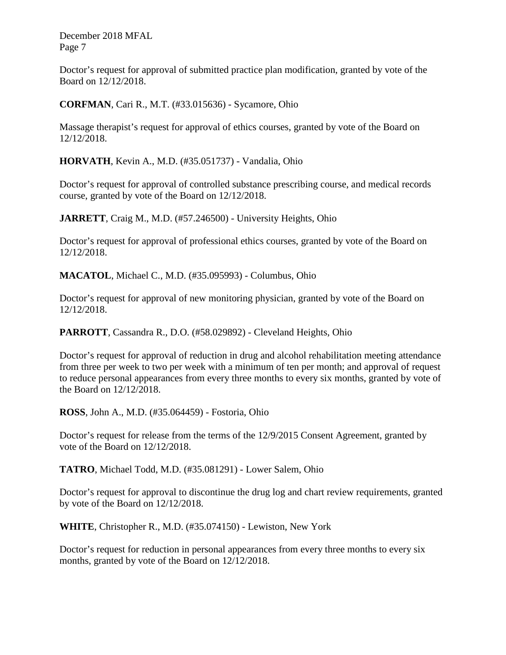Doctor's request for approval of submitted practice plan modification, granted by vote of the Board on 12/12/2018.

**CORFMAN**, Cari R., M.T. (#33.015636) - Sycamore, Ohio

Massage therapist's request for approval of ethics courses, granted by vote of the Board on 12/12/2018.

**HORVATH**, Kevin A., M.D. (#35.051737) - Vandalia, Ohio

Doctor's request for approval of controlled substance prescribing course, and medical records course, granted by vote of the Board on 12/12/2018.

**JARRETT**, Craig M., M.D. (#57.246500) - University Heights, Ohio

Doctor's request for approval of professional ethics courses, granted by vote of the Board on 12/12/2018.

**MACATOL**, Michael C., M.D. (#35.095993) - Columbus, Ohio

Doctor's request for approval of new monitoring physician, granted by vote of the Board on 12/12/2018.

**PARROTT**, Cassandra R., D.O. (#58.029892) - Cleveland Heights, Ohio

Doctor's request for approval of reduction in drug and alcohol rehabilitation meeting attendance from three per week to two per week with a minimum of ten per month; and approval of request to reduce personal appearances from every three months to every six months, granted by vote of the Board on 12/12/2018.

**ROSS**, John A., M.D. (#35.064459) - Fostoria, Ohio

Doctor's request for release from the terms of the 12/9/2015 Consent Agreement, granted by vote of the Board on 12/12/2018.

**TATRO**, Michael Todd, M.D. (#35.081291) - Lower Salem, Ohio

Doctor's request for approval to discontinue the drug log and chart review requirements, granted by vote of the Board on 12/12/2018.

**WHITE**, Christopher R., M.D. (#35.074150) - Lewiston, New York

Doctor's request for reduction in personal appearances from every three months to every six months, granted by vote of the Board on 12/12/2018.